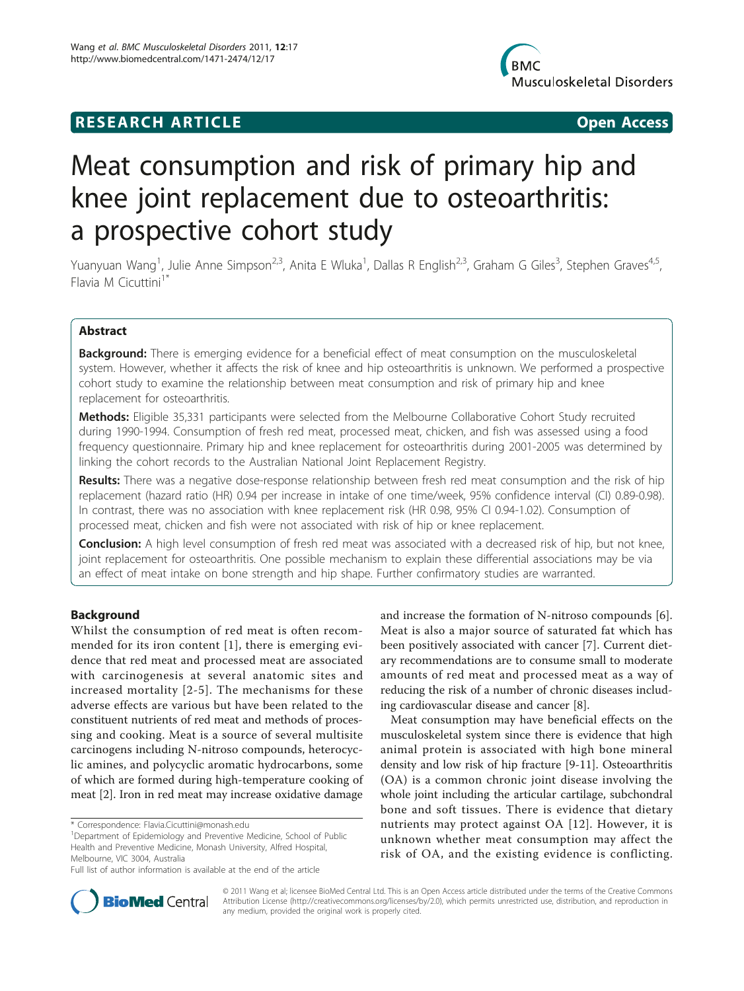# **RESEARCH ARTICLE Example 2018 CONSIDERING ACCESS**



# Meat consumption and risk of primary hip and knee joint replacement due to osteoarthritis: a prospective cohort study

Yuanyuan Wang<sup>1</sup>, Julie Anne Simpson<sup>2,3</sup>, Anita E Wluka<sup>1</sup>, Dallas R English<sup>2,3</sup>, Graham G Giles<sup>3</sup>, Stephen Graves<sup>4,5</sup>, Flavia M Cicuttini<sup>1\*</sup>

# Abstract

**Background:** There is emerging evidence for a beneficial effect of meat consumption on the musculoskeletal system. However, whether it affects the risk of knee and hip osteoarthritis is unknown. We performed a prospective cohort study to examine the relationship between meat consumption and risk of primary hip and knee replacement for osteoarthritis.

Methods: Eligible 35,331 participants were selected from the Melbourne Collaborative Cohort Study recruited during 1990-1994. Consumption of fresh red meat, processed meat, chicken, and fish was assessed using a food frequency questionnaire. Primary hip and knee replacement for osteoarthritis during 2001-2005 was determined by linking the cohort records to the Australian National Joint Replacement Registry.

Results: There was a negative dose-response relationship between fresh red meat consumption and the risk of hip replacement (hazard ratio (HR) 0.94 per increase in intake of one time/week, 95% confidence interval (CI) 0.89-0.98). In contrast, there was no association with knee replacement risk (HR 0.98, 95% CI 0.94-1.02). Consumption of processed meat, chicken and fish were not associated with risk of hip or knee replacement.

**Conclusion:** A high level consumption of fresh red meat was associated with a decreased risk of hip, but not knee, joint replacement for osteoarthritis. One possible mechanism to explain these differential associations may be via an effect of meat intake on bone strength and hip shape. Further confirmatory studies are warranted.

# Background

Whilst the consumption of red meat is often recommended for its iron content [[1\]](#page-8-0), there is emerging evidence that red meat and processed meat are associated with carcinogenesis at several anatomic sites and increased mortality [\[2-5](#page-8-0)]. The mechanisms for these adverse effects are various but have been related to the constituent nutrients of red meat and methods of processing and cooking. Meat is a source of several multisite carcinogens including N-nitroso compounds, heterocyclic amines, and polycyclic aromatic hydrocarbons, some of which are formed during high-temperature cooking of meat [[2](#page-8-0)]. Iron in red meat may increase oxidative damage

\* Correspondence: [Flavia.Cicuttini@monash.edu](mailto:Flavia.Cicuttini@monash.edu)

and increase the formation of N-nitroso compounds [\[6](#page-8-0)]. Meat is also a major source of saturated fat which has been positively associated with cancer [[7\]](#page-8-0). Current dietary recommendations are to consume small to moderate amounts of red meat and processed meat as a way of reducing the risk of a number of chronic diseases including cardiovascular disease and cancer [\[8\]](#page-8-0).

Meat consumption may have beneficial effects on the musculoskeletal system since there is evidence that high animal protein is associated with high bone mineral density and low risk of hip fracture [[9-11\]](#page-8-0). Osteoarthritis (OA) is a common chronic joint disease involving the whole joint including the articular cartilage, subchondral bone and soft tissues. There is evidence that dietary nutrients may protect against OA [[12\]](#page-8-0). However, it is unknown whether meat consumption may affect the risk of OA, and the existing evidence is conflicting.



© 2011 Wang et al; licensee BioMed Central Ltd. This is an Open Access article distributed under the terms of the Creative Commons Attribution License [\(http://creativecommons.org/licenses/by/2.0](http://creativecommons.org/licenses/by/2.0)), which permits unrestricted use, distribution, and reproduction in any medium, provided the original work is properly cited.

<sup>&</sup>lt;sup>1</sup>Department of Epidemiology and Preventive Medicine, School of Public Health and Preventive Medicine, Monash University, Alfred Hospital, Melbourne, VIC 3004, Australia

Full list of author information is available at the end of the article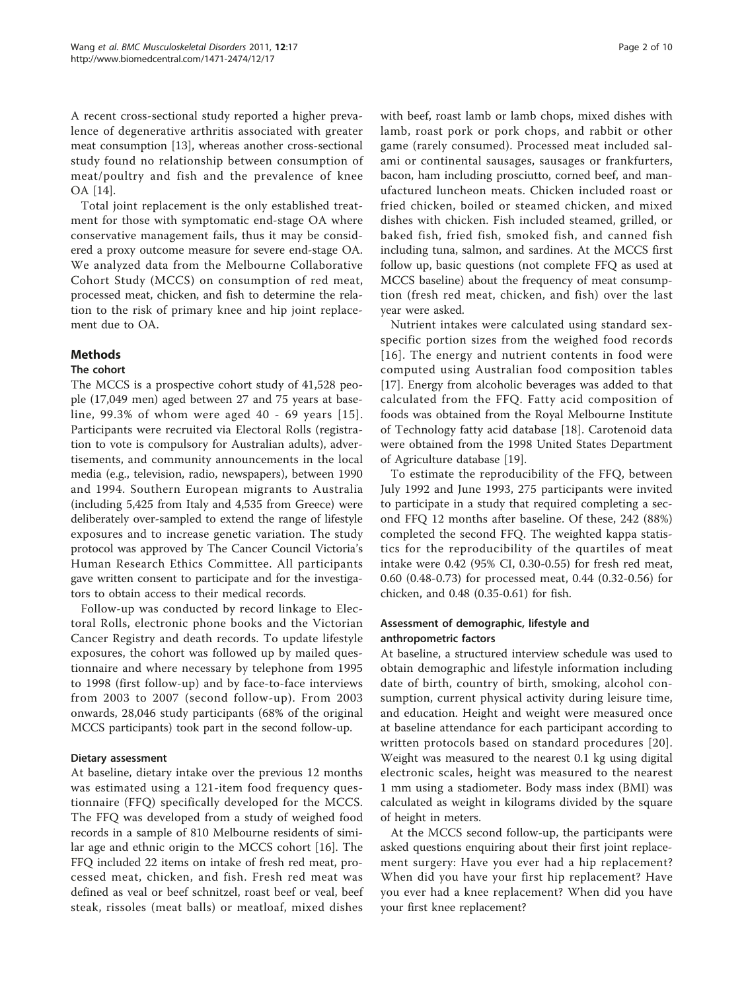A recent cross-sectional study reported a higher prevalence of degenerative arthritis associated with greater meat consumption [[13](#page-8-0)], whereas another cross-sectional study found no relationship between consumption of meat/poultry and fish and the prevalence of knee OA [[14](#page-8-0)].

Total joint replacement is the only established treatment for those with symptomatic end-stage OA where conservative management fails, thus it may be considered a proxy outcome measure for severe end-stage OA. We analyzed data from the Melbourne Collaborative Cohort Study (MCCS) on consumption of red meat, processed meat, chicken, and fish to determine the relation to the risk of primary knee and hip joint replacement due to OA.

# Methods

# The cohort

The MCCS is a prospective cohort study of 41,528 people (17,049 men) aged between 27 and 75 years at baseline, 99.3% of whom were aged 40 - 69 years [[15\]](#page-8-0). Participants were recruited via Electoral Rolls (registration to vote is compulsory for Australian adults), advertisements, and community announcements in the local media (e.g., television, radio, newspapers), between 1990 and 1994. Southern European migrants to Australia (including 5,425 from Italy and 4,535 from Greece) were deliberately over-sampled to extend the range of lifestyle exposures and to increase genetic variation. The study protocol was approved by The Cancer Council Victoria's Human Research Ethics Committee. All participants gave written consent to participate and for the investigators to obtain access to their medical records.

Follow-up was conducted by record linkage to Electoral Rolls, electronic phone books and the Victorian Cancer Registry and death records. To update lifestyle exposures, the cohort was followed up by mailed questionnaire and where necessary by telephone from 1995 to 1998 (first follow-up) and by face-to-face interviews from 2003 to 2007 (second follow-up). From 2003 onwards, 28,046 study participants (68% of the original MCCS participants) took part in the second follow-up.

#### Dietary assessment

At baseline, dietary intake over the previous 12 months was estimated using a 121-item food frequency questionnaire (FFQ) specifically developed for the MCCS. The FFQ was developed from a study of weighed food records in a sample of 810 Melbourne residents of similar age and ethnic origin to the MCCS cohort [[16](#page-8-0)]. The FFQ included 22 items on intake of fresh red meat, processed meat, chicken, and fish. Fresh red meat was defined as veal or beef schnitzel, roast beef or veal, beef steak, rissoles (meat balls) or meatloaf, mixed dishes with beef, roast lamb or lamb chops, mixed dishes with lamb, roast pork or pork chops, and rabbit or other game (rarely consumed). Processed meat included salami or continental sausages, sausages or frankfurters, bacon, ham including prosciutto, corned beef, and manufactured luncheon meats. Chicken included roast or fried chicken, boiled or steamed chicken, and mixed dishes with chicken. Fish included steamed, grilled, or baked fish, fried fish, smoked fish, and canned fish including tuna, salmon, and sardines. At the MCCS first follow up, basic questions (not complete FFQ as used at MCCS baseline) about the frequency of meat consumption (fresh red meat, chicken, and fish) over the last year were asked.

Nutrient intakes were calculated using standard sexspecific portion sizes from the weighed food records [[16\]](#page-8-0). The energy and nutrient contents in food were computed using Australian food composition tables [[17\]](#page-8-0). Energy from alcoholic beverages was added to that calculated from the FFQ. Fatty acid composition of foods was obtained from the Royal Melbourne Institute of Technology fatty acid database [[18](#page-8-0)]. Carotenoid data were obtained from the 1998 United States Department of Agriculture database [[19](#page-8-0)].

To estimate the reproducibility of the FFQ, between July 1992 and June 1993, 275 participants were invited to participate in a study that required completing a second FFQ 12 months after baseline. Of these, 242 (88%) completed the second FFQ. The weighted kappa statistics for the reproducibility of the quartiles of meat intake were 0.42 (95% CI, 0.30-0.55) for fresh red meat, 0.60 (0.48-0.73) for processed meat, 0.44 (0.32-0.56) for chicken, and 0.48 (0.35-0.61) for fish.

# Assessment of demographic, lifestyle and anthropometric factors

At baseline, a structured interview schedule was used to obtain demographic and lifestyle information including date of birth, country of birth, smoking, alcohol consumption, current physical activity during leisure time, and education. Height and weight were measured once at baseline attendance for each participant according to written protocols based on standard procedures [[20\]](#page-8-0). Weight was measured to the nearest 0.1 kg using digital electronic scales, height was measured to the nearest 1 mm using a stadiometer. Body mass index (BMI) was calculated as weight in kilograms divided by the square of height in meters.

At the MCCS second follow-up, the participants were asked questions enquiring about their first joint replacement surgery: Have you ever had a hip replacement? When did you have your first hip replacement? Have you ever had a knee replacement? When did you have your first knee replacement?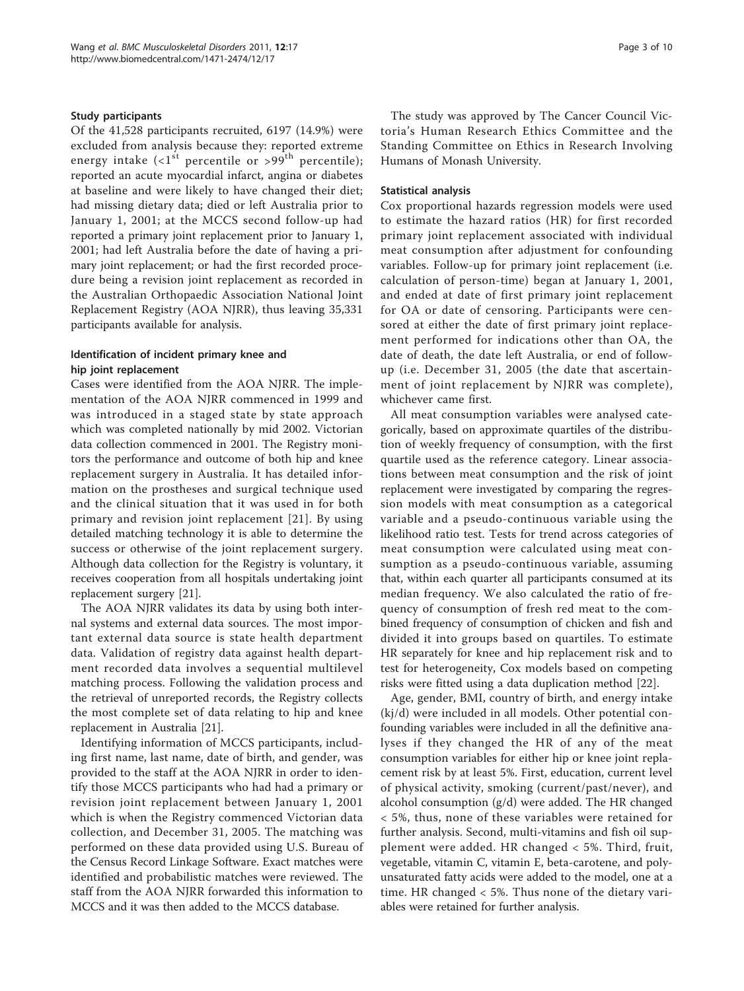#### Study participants

Of the 41,528 participants recruited, 6197 (14.9%) were excluded from analysis because they: reported extreme energy intake  $(*1*<sup>st</sup> percentile or *>99*<sup>th</sup> percentile);$ reported an acute myocardial infarct, angina or diabetes at baseline and were likely to have changed their diet; had missing dietary data; died or left Australia prior to January 1, 2001; at the MCCS second follow-up had reported a primary joint replacement prior to January 1, 2001; had left Australia before the date of having a primary joint replacement; or had the first recorded procedure being a revision joint replacement as recorded in the Australian Orthopaedic Association National Joint Replacement Registry (AOA NJRR), thus leaving 35,331 participants available for analysis.

## Identification of incident primary knee and hip joint replacement

Cases were identified from the AOA NJRR. The implementation of the AOA NJRR commenced in 1999 and was introduced in a staged state by state approach which was completed nationally by mid 2002. Victorian data collection commenced in 2001. The Registry monitors the performance and outcome of both hip and knee replacement surgery in Australia. It has detailed information on the prostheses and surgical technique used and the clinical situation that it was used in for both primary and revision joint replacement [[21](#page-9-0)]. By using detailed matching technology it is able to determine the success or otherwise of the joint replacement surgery. Although data collection for the Registry is voluntary, it receives cooperation from all hospitals undertaking joint replacement surgery [\[21\]](#page-9-0).

The AOA NJRR validates its data by using both internal systems and external data sources. The most important external data source is state health department data. Validation of registry data against health department recorded data involves a sequential multilevel matching process. Following the validation process and the retrieval of unreported records, the Registry collects the most complete set of data relating to hip and knee replacement in Australia [\[21\]](#page-9-0).

Identifying information of MCCS participants, including first name, last name, date of birth, and gender, was provided to the staff at the AOA NJRR in order to identify those MCCS participants who had had a primary or revision joint replacement between January 1, 2001 which is when the Registry commenced Victorian data collection, and December 31, 2005. The matching was performed on these data provided using U.S. Bureau of the Census Record Linkage Software. Exact matches were identified and probabilistic matches were reviewed. The staff from the AOA NJRR forwarded this information to MCCS and it was then added to the MCCS database.

The study was approved by The Cancer Council Victoria's Human Research Ethics Committee and the Standing Committee on Ethics in Research Involving Humans of Monash University.

#### Statistical analysis

Cox proportional hazards regression models were used to estimate the hazard ratios (HR) for first recorded primary joint replacement associated with individual meat consumption after adjustment for confounding variables. Follow-up for primary joint replacement (i.e. calculation of person-time) began at January 1, 2001, and ended at date of first primary joint replacement for OA or date of censoring. Participants were censored at either the date of first primary joint replacement performed for indications other than OA, the date of death, the date left Australia, or end of followup (i.e. December 31, 2005 (the date that ascertainment of joint replacement by NJRR was complete), whichever came first.

All meat consumption variables were analysed categorically, based on approximate quartiles of the distribution of weekly frequency of consumption, with the first quartile used as the reference category. Linear associations between meat consumption and the risk of joint replacement were investigated by comparing the regression models with meat consumption as a categorical variable and a pseudo-continuous variable using the likelihood ratio test. Tests for trend across categories of meat consumption were calculated using meat consumption as a pseudo-continuous variable, assuming that, within each quarter all participants consumed at its median frequency. We also calculated the ratio of frequency of consumption of fresh red meat to the combined frequency of consumption of chicken and fish and divided it into groups based on quartiles. To estimate HR separately for knee and hip replacement risk and to test for heterogeneity, Cox models based on competing risks were fitted using a data duplication method [[22\]](#page-9-0).

Age, gender, BMI, country of birth, and energy intake (kj/d) were included in all models. Other potential confounding variables were included in all the definitive analyses if they changed the HR of any of the meat consumption variables for either hip or knee joint replacement risk by at least 5%. First, education, current level of physical activity, smoking (current/past/never), and alcohol consumption (g/d) were added. The HR changed < 5%, thus, none of these variables were retained for further analysis. Second, multi-vitamins and fish oil supplement were added. HR changed < 5%. Third, fruit, vegetable, vitamin C, vitamin E, beta-carotene, and polyunsaturated fatty acids were added to the model, one at a time. HR changed < 5%. Thus none of the dietary variables were retained for further analysis.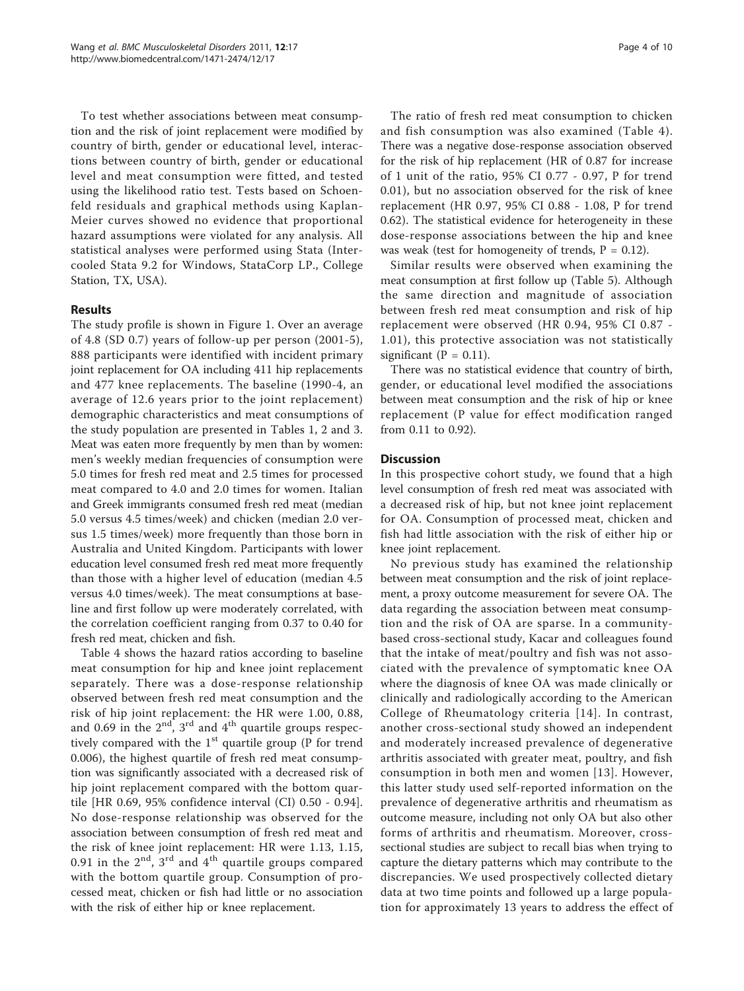To test whether associations between meat consumption and the risk of joint replacement were modified by country of birth, gender or educational level, interactions between country of birth, gender or educational level and meat consumption were fitted, and tested using the likelihood ratio test. Tests based on Schoenfeld residuals and graphical methods using Kaplan-Meier curves showed no evidence that proportional hazard assumptions were violated for any analysis. All statistical analyses were performed using Stata (Intercooled Stata 9.2 for Windows, StataCorp LP., College Station, TX, USA).

## Results

The study profile is shown in Figure [1](#page-4-0). Over an average of 4.8 (SD 0.7) years of follow-up per person (2001-5), 888 participants were identified with incident primary joint replacement for OA including 411 hip replacements and 477 knee replacements. The baseline (1990-4, an average of 12.6 years prior to the joint replacement) demographic characteristics and meat consumptions of the study population are presented in Tables [1](#page-4-0), [2](#page-5-0) and [3](#page-5-0). Meat was eaten more frequently by men than by women: men's weekly median frequencies of consumption were 5.0 times for fresh red meat and 2.5 times for processed meat compared to 4.0 and 2.0 times for women. Italian and Greek immigrants consumed fresh red meat (median 5.0 versus 4.5 times/week) and chicken (median 2.0 versus 1.5 times/week) more frequently than those born in Australia and United Kingdom. Participants with lower education level consumed fresh red meat more frequently than those with a higher level of education (median 4.5 versus 4.0 times/week). The meat consumptions at baseline and first follow up were moderately correlated, with the correlation coefficient ranging from 0.37 to 0.40 for fresh red meat, chicken and fish.

Table [4](#page-6-0) shows the hazard ratios according to baseline meat consumption for hip and knee joint replacement separately. There was a dose-response relationship observed between fresh red meat consumption and the risk of hip joint replacement: the HR were 1.00, 0.88, and 0.69 in the  $2<sup>nd</sup>$ ,  $3<sup>rd</sup>$  and  $4<sup>th</sup>$  quartile groups respectively compared with the  $1<sup>st</sup>$  quartile group (P for trend 0.006), the highest quartile of fresh red meat consumption was significantly associated with a decreased risk of hip joint replacement compared with the bottom quartile [HR 0.69, 95% confidence interval (CI) 0.50 - 0.94]. No dose-response relationship was observed for the association between consumption of fresh red meat and the risk of knee joint replacement: HR were 1.13, 1.15, 0.91 in the  $2<sup>nd</sup>$ ,  $3<sup>rd</sup>$  and  $4<sup>th</sup>$  quartile groups compared with the bottom quartile group. Consumption of processed meat, chicken or fish had little or no association with the risk of either hip or knee replacement.

The ratio of fresh red meat consumption to chicken and fish consumption was also examined (Table [4\)](#page-6-0). There was a negative dose-response association observed for the risk of hip replacement (HR of 0.87 for increase of 1 unit of the ratio, 95% CI 0.77 - 0.97, P for trend 0.01), but no association observed for the risk of knee replacement (HR 0.97, 95% CI 0.88 - 1.08, P for trend 0.62). The statistical evidence for heterogeneity in these dose-response associations between the hip and knee was weak (test for homogeneity of trends,  $P = 0.12$ ).

Similar results were observed when examining the meat consumption at first follow up (Table [5\)](#page-6-0). Although the same direction and magnitude of association between fresh red meat consumption and risk of hip replacement were observed (HR 0.94, 95% CI 0.87 - 1.01), this protective association was not statistically significant ( $P = 0.11$ ).

There was no statistical evidence that country of birth, gender, or educational level modified the associations between meat consumption and the risk of hip or knee replacement (P value for effect modification ranged from 0.11 to 0.92).

#### **Discussion**

In this prospective cohort study, we found that a high level consumption of fresh red meat was associated with a decreased risk of hip, but not knee joint replacement for OA. Consumption of processed meat, chicken and fish had little association with the risk of either hip or knee joint replacement.

No previous study has examined the relationship between meat consumption and the risk of joint replacement, a proxy outcome measurement for severe OA. The data regarding the association between meat consumption and the risk of OA are sparse. In a communitybased cross-sectional study, Kacar and colleagues found that the intake of meat/poultry and fish was not associated with the prevalence of symptomatic knee OA where the diagnosis of knee OA was made clinically or clinically and radiologically according to the American College of Rheumatology criteria [[14](#page-8-0)]. In contrast, another cross-sectional study showed an independent and moderately increased prevalence of degenerative arthritis associated with greater meat, poultry, and fish consumption in both men and women [\[13\]](#page-8-0). However, this latter study used self-reported information on the prevalence of degenerative arthritis and rheumatism as outcome measure, including not only OA but also other forms of arthritis and rheumatism. Moreover, crosssectional studies are subject to recall bias when trying to capture the dietary patterns which may contribute to the discrepancies. We used prospectively collected dietary data at two time points and followed up a large population for approximately 13 years to address the effect of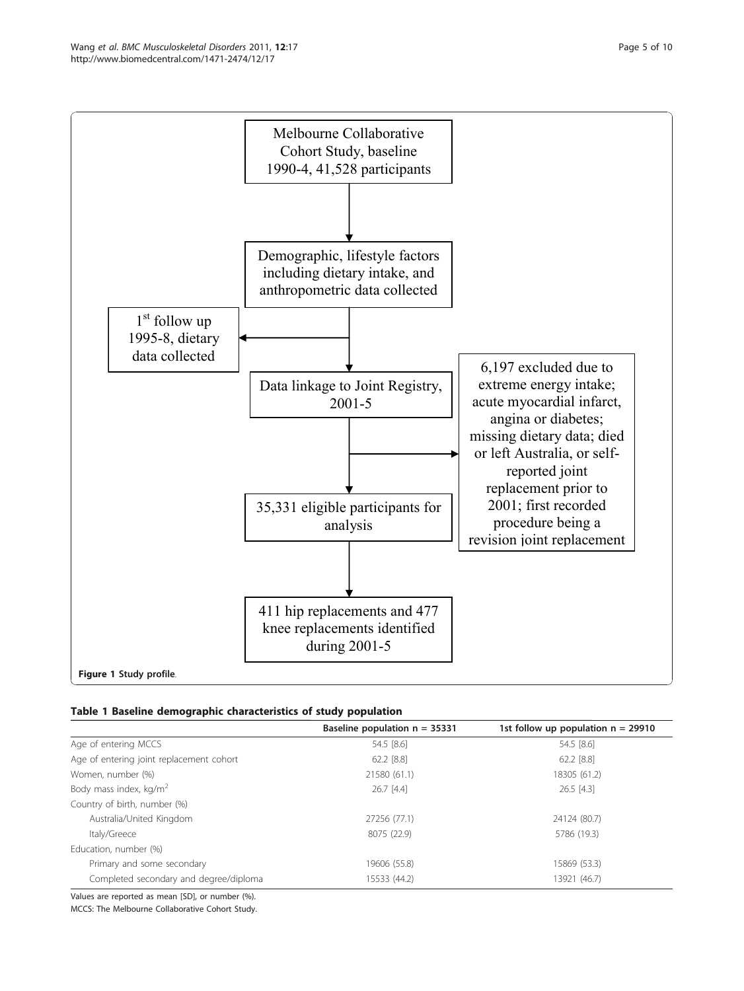<span id="page-4-0"></span>

|  |  |  |  | Table 1 Baseline demographic characteristics of study population |  |  |  |
|--|--|--|--|------------------------------------------------------------------|--|--|--|
|--|--|--|--|------------------------------------------------------------------|--|--|--|

|                                          | Baseline population $n = 35331$ | 1st follow up population $n = 29910$ |
|------------------------------------------|---------------------------------|--------------------------------------|
| Age of entering MCCS                     | 54.5 [8.6]                      | 54.5 [8.6]                           |
| Age of entering joint replacement cohort | 62.2 [8.8]                      | 62.2 [8.8]                           |
| Women, number (%)                        | 21580 (61.1)                    | 18305 (61.2)                         |
| Body mass index, kg/m <sup>2</sup>       | 26.7 [4.4]                      | $26.5$ [4.3]                         |
| Country of birth, number (%)             |                                 |                                      |
| Australia/United Kingdom                 | 27256 (77.1)                    | 24124 (80.7)                         |
| Italy/Greece                             | 8075 (22.9)                     | 5786 (19.3)                          |
| Education, number (%)                    |                                 |                                      |
| Primary and some secondary               | 19606 (55.8)                    | 15869 (53.3)                         |
| Completed secondary and degree/diploma   | 15533 (44.2)                    | 13921 (46.7)                         |

Values are reported as mean [SD], or number (%).

MCCS: The Melbourne Collaborative Cohort Study.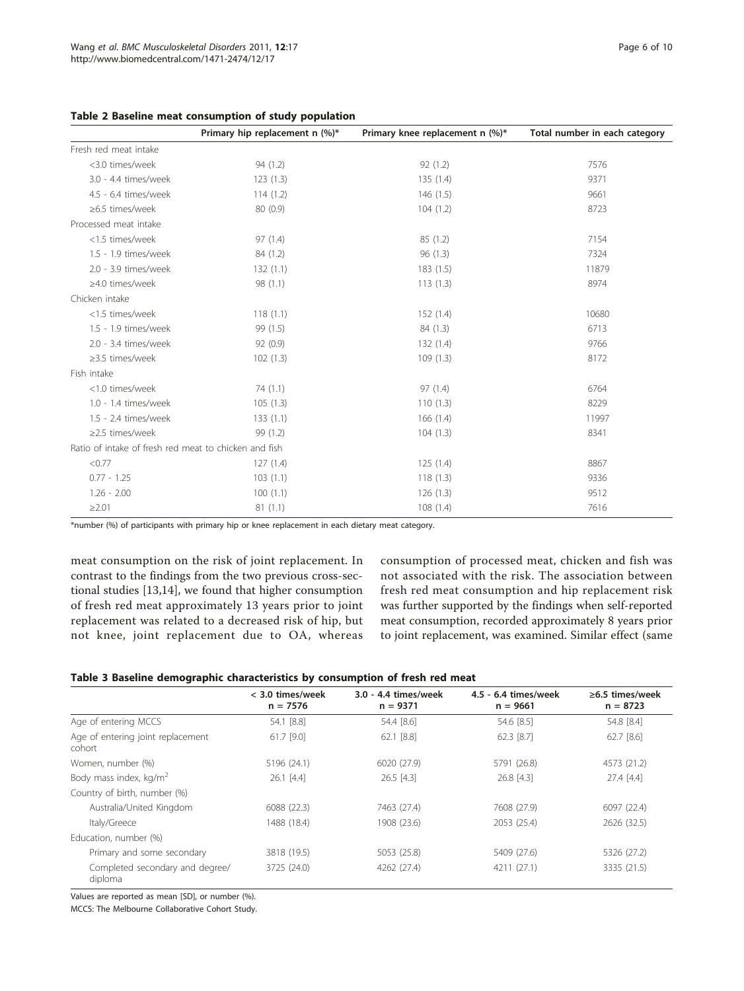<span id="page-5-0"></span>

| Table 2 Baseline meat consumption of study population |  |  |  |
|-------------------------------------------------------|--|--|--|
|-------------------------------------------------------|--|--|--|

|                                                       | Primary hip replacement n (%)* | Primary knee replacement n (%)* | Total number in each category |
|-------------------------------------------------------|--------------------------------|---------------------------------|-------------------------------|
| Fresh red meat intake                                 |                                |                                 |                               |
| <3.0 times/week                                       | 94 (1.2)                       | 92(1.2)                         | 7576                          |
| 3.0 - 4.4 times/week                                  | 123(1.3)                       | 135 (1.4)                       | 9371                          |
| 4.5 - 6.4 times/week                                  | 114(1.2)                       | 146(1.5)                        | 9661                          |
| ≥6.5 times/week                                       | 80 (0.9)                       | 104(1.2)                        | 8723                          |
| Processed meat intake                                 |                                |                                 |                               |
| <1.5 times/week                                       | 97(1.4)                        | 85(1.2)                         | 7154                          |
| 1.5 - 1.9 times/week                                  | 84 (1.2)                       | 96(1.3)                         | 7324                          |
| 2.0 - 3.9 times/week                                  | 132(1.1)                       | 183(1.5)                        | 11879                         |
| ≥4.0 times/week                                       | 98 (1.1)                       | 113(1.3)                        | 8974                          |
| Chicken intake                                        |                                |                                 |                               |
| <1.5 times/week                                       | 118(1.1)                       | 152(1.4)                        | 10680                         |
| 1.5 - 1.9 times/week                                  | 99 (1.5)                       | 84(1.3)                         | 6713                          |
| 2.0 - 3.4 times/week                                  | 92 (0.9)                       | 132(1.4)                        | 9766                          |
| $\geq$ 3.5 times/week                                 | 102(1.3)                       | 109(1.3)                        | 8172                          |
| Fish intake                                           |                                |                                 |                               |
| <1.0 times/week                                       | 74(1.1)                        | 97(1.4)                         | 6764                          |
| 1.0 - 1.4 times/week                                  | 105(1.3)                       | 110(1.3)                        | 8229                          |
| 1.5 - 2.4 times/week                                  | 133(1.1)                       | 166(1.4)                        | 11997                         |
| >2.5 times/week                                       | 99 (1.2)                       | 104(1.3)                        | 8341                          |
| Ratio of intake of fresh red meat to chicken and fish |                                |                                 |                               |
| < 0.77                                                | 127(1.4)                       | 125(1.4)                        | 8867                          |
| $0.77 - 1.25$                                         | 103(1.1)                       | 118(1.3)                        | 9336                          |
| $1.26 - 2.00$                                         | 100(1.1)                       | 126(1.3)                        | 9512                          |
| $\geq 2.01$                                           | 81(1.1)                        | 108(1.4)                        | 7616                          |

\*number (%) of participants with primary hip or knee replacement in each dietary meat category.

meat consumption on the risk of joint replacement. In contrast to the findings from the two previous cross-sectional studies [\[13,14](#page-8-0)], we found that higher consumption of fresh red meat approximately 13 years prior to joint replacement was related to a decreased risk of hip, but not knee, joint replacement due to OA, whereas

consumption of processed meat, chicken and fish was not associated with the risk. The association between fresh red meat consumption and hip replacement risk was further supported by the findings when self-reported meat consumption, recorded approximately 8 years prior to joint replacement, was examined. Similar effect (same

|  |  |  |  | Table 3 Baseline demographic characteristics by consumption of fresh red meat |
|--|--|--|--|-------------------------------------------------------------------------------|
|--|--|--|--|-------------------------------------------------------------------------------|

|                                             | $<$ 3.0 times/week<br>$n = 7576$ | 3.0 - 4.4 times/week<br>$n = 9371$ | 4.5 - 6.4 times/week<br>$n = 9661$ | $\geq$ 6.5 times/week<br>$n = 8723$ |
|---------------------------------------------|----------------------------------|------------------------------------|------------------------------------|-------------------------------------|
| Age of entering MCCS                        | 54.1 [8.8]                       | 54.4 [8.6]                         | 54.6 [8.5]                         | 54.8 [8.4]                          |
| Age of entering joint replacement<br>cohort | 61.7 [9.0]                       | $62.1$ [8.8]                       | 62.3 [8.7]                         | $62.7$ [8.6]                        |
| Women, number (%)                           | 5196 (24.1)                      | 6020 (27.9)                        | 5791 (26.8)                        | 4573 (21.2)                         |
| Body mass index, kg/m <sup>2</sup>          | $26.1$ [4.4]                     | $26.5$ [4.3]                       | 26.8 [4.3]                         | 27.4 [4.4]                          |
| Country of birth, number (%)                |                                  |                                    |                                    |                                     |
| Australia/United Kingdom                    | 6088 (22.3)                      | 7463 (27.4)                        | 7608 (27.9)                        | 6097 (22.4)                         |
| Italy/Greece                                | 1488 (18.4)                      | 1908 (23.6)                        | 2053 (25.4)                        | 2626 (32.5)                         |
| Education, number (%)                       |                                  |                                    |                                    |                                     |
| Primary and some secondary                  | 3818 (19.5)                      | 5053 (25.8)                        | 5409 (27.6)                        | 5326 (27.2)                         |
| Completed secondary and degree/<br>diploma  | 3725 (24.0)                      | 4262 (27.4)                        | 4211 (27.1)                        | 3335 (21.5)                         |

Values are reported as mean [SD], or number (%).

MCCS: The Melbourne Collaborative Cohort Study.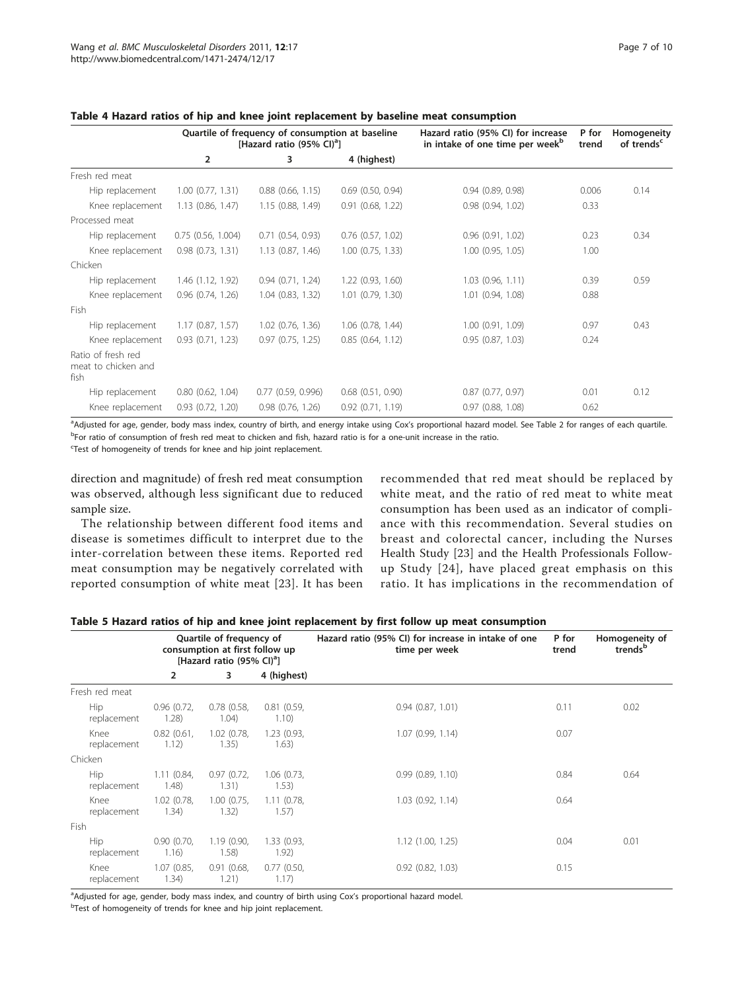| Quartile of frequency of consumption at baseline<br>[Hazard ratio (95% CI) <sup>a</sup> ] |                        |                       | Hazard ratio (95% CI) for increase<br>in intake of one time per week <sup>b</sup> | P for<br>trend | Homogeneity<br>of trends <sup>c</sup> |
|-------------------------------------------------------------------------------------------|------------------------|-----------------------|-----------------------------------------------------------------------------------|----------------|---------------------------------------|
| 2                                                                                         | 3                      | 4 (highest)           |                                                                                   |                |                                       |
|                                                                                           |                        |                       |                                                                                   |                |                                       |
| $1.00$ (0.77, 1.31)                                                                       | $0.88$ $(0.66, 1.15)$  | $0.69$ $(0.50, 0.94)$ | $0.94$ $(0.89, 0.98)$                                                             | 0.006          | 0.14                                  |
| $1.13$ (0.86, 1.47)                                                                       | 1.15(0.88, 1.49)       | $0.91$ $(0.68, 1.22)$ | $0.98$ $(0.94, 1.02)$                                                             | 0.33           |                                       |
|                                                                                           |                        |                       |                                                                                   |                |                                       |
| $0.75$ $(0.56, 1.004)$                                                                    | $0.71$ $(0.54, 0.93)$  | $0.76$ $(0.57, 1.02)$ | $0.96$ $(0.91, 1.02)$                                                             | 0.23           | 0.34                                  |
| 0.98(0.73, 1.31)                                                                          | 1.13(0.87, 1.46)       | $1.00$ $(0.75, 1.33)$ | 1.00 (0.95, 1.05)                                                                 | 1.00           |                                       |
|                                                                                           |                        |                       |                                                                                   |                |                                       |
| 1.46(1.12, 1.92)                                                                          | $0.94$ $(0.71, 1.24)$  | 1.22(0.93, 1.60)      | $1.03$ $(0.96, 1.11)$                                                             | 0.39           | 0.59                                  |
| 0.96(0.74, 1.26)                                                                          | 1.04(0.83, 1.32)       | $1.01$ $(0.79, 1.30)$ | 1.01 (0.94, 1.08)                                                                 | 0.88           |                                       |
|                                                                                           |                        |                       |                                                                                   |                |                                       |
| 1.17(0.87, 1.57)                                                                          | $1.02$ (0.76, 1.36)    | $1.06$ $(0.78, 1.44)$ | 1.00(0.91, 1.09)                                                                  | 0.97           | 0.43                                  |
| 0.93(0.71, 1.23)                                                                          | 0.97(0.75, 1.25)       | 0.85(0.64, 1.12)      | 0.95(0.87, 1.03)                                                                  | 0.24           |                                       |
|                                                                                           |                        |                       |                                                                                   |                |                                       |
| $0.80$ $(0.62, 1.04)$                                                                     | $0.77$ $(0.59, 0.996)$ | $0.68$ $(0.51, 0.90)$ | $0.87$ $(0.77, 0.97)$                                                             | 0.01           | 0.12                                  |
| $0.93$ $(0.72, 1.20)$                                                                     | $0.98$ $(0.76, 1.26)$  | $0.92$ $(0.71, 1.19)$ | 0.97(0.88, 1.08)                                                                  | 0.62           |                                       |
|                                                                                           |                        |                       |                                                                                   |                |                                       |

#### <span id="page-6-0"></span>Table 4 Hazard ratios of hip and knee joint replacement by baseline meat consumption

<sup>a</sup>Adjusted for age, gender, body mass index, country of birth, and energy intake using Cox's proportional hazard model. See Table 2 for ranges of each quartile. b For ratio of consumption of fresh red meat to chicken and fish, hazard ratio is for a one-unit increase in the ratio.

<sup>c</sup>Test of homogeneity of trends for knee and hip joint replacement.

direction and magnitude) of fresh red meat consumption was observed, although less significant due to reduced sample size.

The relationship between different food items and disease is sometimes difficult to interpret due to the inter-correlation between these items. Reported red meat consumption may be negatively correlated with reported consumption of white meat [[23](#page-9-0)]. It has been recommended that red meat should be replaced by white meat, and the ratio of red meat to white meat consumption has been used as an indicator of compliance with this recommendation. Several studies on breast and colorectal cancer, including the Nurses Health Study [\[23](#page-9-0)] and the Health Professionals Followup Study [[24\]](#page-9-0), have placed great emphasis on this ratio. It has implications in the recommendation of

|                           | Quartile of frequency of<br>consumption at first follow up<br>[Hazard ratio (95% CI) <sup>a</sup> ] |                        |                     | Hazard ratio (95% CI) for increase in intake of one<br>time per week |      | Homogeneity of<br>trends <sup>b</sup> |
|---------------------------|-----------------------------------------------------------------------------------------------------|------------------------|---------------------|----------------------------------------------------------------------|------|---------------------------------------|
|                           | $\overline{2}$                                                                                      | 3                      | 4 (highest)         |                                                                      |      |                                       |
| Fresh red meat            |                                                                                                     |                        |                     |                                                                      |      |                                       |
| <b>Hip</b><br>replacement | 0.96(0.72,<br>1.28)                                                                                 | $0.78$ (0.58,<br>1.04) | 0.81(0.59,<br>1.10) | 0.94(0.87, 1.01)                                                     | 0.11 | 0.02                                  |
| Knee<br>replacement       | 0.82(0.61)<br>1.12)                                                                                 | 1.02 (0.78,<br>1.35)   | 1.23(0.93,<br>1.63) | 1.07(0.99, 1.14)                                                     | 0.07 |                                       |
| Chicken                   |                                                                                                     |                        |                     |                                                                      |      |                                       |
| <b>Hip</b><br>replacement | 1.11(0.84,<br>1.48)                                                                                 | 0.97(0.72,<br>1.31)    | 1.06(0.73,<br>1.53) | 0.99(0.89, 1.10)                                                     | 0.84 | 0.64                                  |
| Knee<br>replacement       | 1.02 (0.78,<br>1.34)                                                                                | 1.00 (0.75,<br>1.32)   | 1.11(0.78,<br>1.57) | $1.03$ $(0.92, 1.14)$                                                | 0.64 |                                       |
| Fish                      |                                                                                                     |                        |                     |                                                                      |      |                                       |
| Hip<br>replacement        | 0.90(0.70,<br>1.16)                                                                                 | 1.19(0.90,<br>1.58)    | 1.33(0.93,<br>1.92) | 1.12(1.00, 1.25)                                                     | 0.04 | 0.01                                  |
| Knee<br>replacement       | 1.07(0.85,<br>1.34)                                                                                 | 0.91(0.68,<br>1.21)    | 0.77(0.50,<br>1.17) | $0.92$ $(0.82, 1.03)$                                                | 0.15 |                                       |

Table 5 Hazard ratios of hip and knee joint replacement by first follow up meat consumption

a Adjusted for age, gender, body mass index, and country of birth using Cox's proportional hazard model.

<sup>b</sup>Test of homogeneity of trends for knee and hip joint replacement.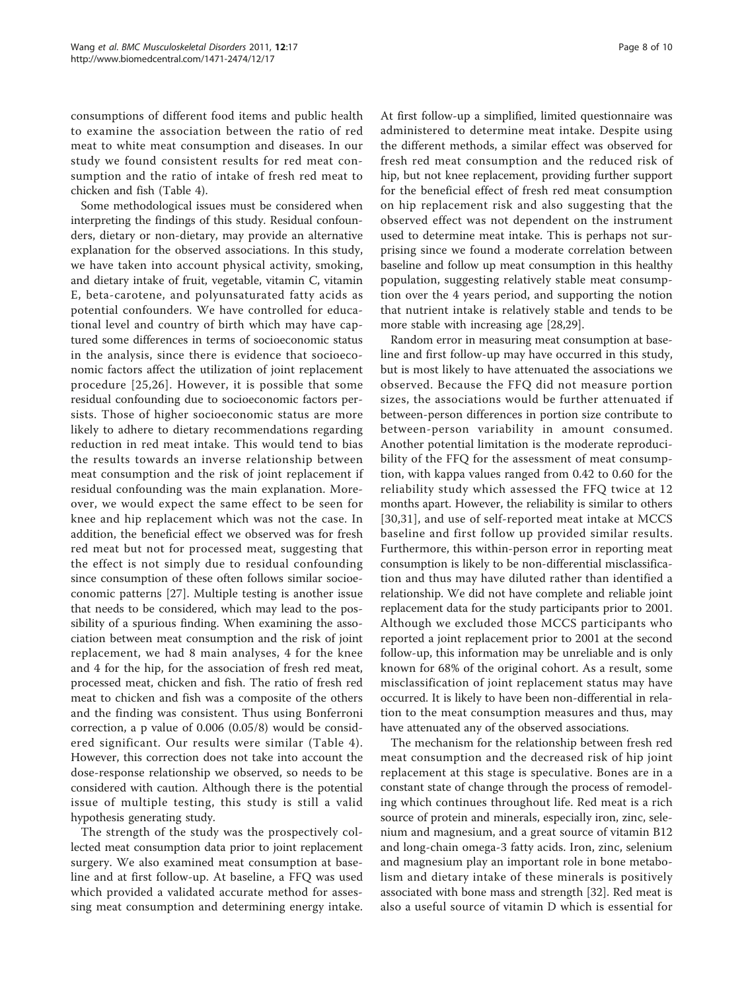consumptions of different food items and public health to examine the association between the ratio of red meat to white meat consumption and diseases. In our study we found consistent results for red meat consumption and the ratio of intake of fresh red meat to chicken and fish (Table [4](#page-6-0)).

Some methodological issues must be considered when interpreting the findings of this study. Residual confounders, dietary or non-dietary, may provide an alternative explanation for the observed associations. In this study, we have taken into account physical activity, smoking, and dietary intake of fruit, vegetable, vitamin C, vitamin E, beta-carotene, and polyunsaturated fatty acids as potential confounders. We have controlled for educational level and country of birth which may have captured some differences in terms of socioeconomic status in the analysis, since there is evidence that socioeconomic factors affect the utilization of joint replacement procedure [[25](#page-9-0),[26](#page-9-0)]. However, it is possible that some residual confounding due to socioeconomic factors persists. Those of higher socioeconomic status are more likely to adhere to dietary recommendations regarding reduction in red meat intake. This would tend to bias the results towards an inverse relationship between meat consumption and the risk of joint replacement if residual confounding was the main explanation. Moreover, we would expect the same effect to be seen for knee and hip replacement which was not the case. In addition, the beneficial effect we observed was for fresh red meat but not for processed meat, suggesting that the effect is not simply due to residual confounding since consumption of these often follows similar socioeconomic patterns [\[27](#page-9-0)]. Multiple testing is another issue that needs to be considered, which may lead to the possibility of a spurious finding. When examining the association between meat consumption and the risk of joint replacement, we had 8 main analyses, 4 for the knee and 4 for the hip, for the association of fresh red meat, processed meat, chicken and fish. The ratio of fresh red meat to chicken and fish was a composite of the others and the finding was consistent. Thus using Bonferroni correction, a p value of 0.006 (0.05/8) would be considered significant. Our results were similar (Table [4\)](#page-6-0). However, this correction does not take into account the dose-response relationship we observed, so needs to be considered with caution. Although there is the potential issue of multiple testing, this study is still a valid hypothesis generating study.

The strength of the study was the prospectively collected meat consumption data prior to joint replacement surgery. We also examined meat consumption at baseline and at first follow-up. At baseline, a FFQ was used which provided a validated accurate method for assessing meat consumption and determining energy intake. At first follow-up a simplified, limited questionnaire was administered to determine meat intake. Despite using the different methods, a similar effect was observed for fresh red meat consumption and the reduced risk of hip, but not knee replacement, providing further support for the beneficial effect of fresh red meat consumption on hip replacement risk and also suggesting that the observed effect was not dependent on the instrument used to determine meat intake. This is perhaps not surprising since we found a moderate correlation between baseline and follow up meat consumption in this healthy population, suggesting relatively stable meat consumption over the 4 years period, and supporting the notion that nutrient intake is relatively stable and tends to be more stable with increasing age [[28,29\]](#page-9-0).

Random error in measuring meat consumption at baseline and first follow-up may have occurred in this study, but is most likely to have attenuated the associations we observed. Because the FFQ did not measure portion sizes, the associations would be further attenuated if between-person differences in portion size contribute to between-person variability in amount consumed. Another potential limitation is the moderate reproducibility of the FFQ for the assessment of meat consumption, with kappa values ranged from 0.42 to 0.60 for the reliability study which assessed the FFQ twice at 12 months apart. However, the reliability is similar to others [[30](#page-9-0),[31](#page-9-0)], and use of self-reported meat intake at MCCS baseline and first follow up provided similar results. Furthermore, this within-person error in reporting meat consumption is likely to be non-differential misclassification and thus may have diluted rather than identified a relationship. We did not have complete and reliable joint replacement data for the study participants prior to 2001. Although we excluded those MCCS participants who reported a joint replacement prior to 2001 at the second follow-up, this information may be unreliable and is only known for 68% of the original cohort. As a result, some misclassification of joint replacement status may have occurred. It is likely to have been non-differential in relation to the meat consumption measures and thus, may have attenuated any of the observed associations.

The mechanism for the relationship between fresh red meat consumption and the decreased risk of hip joint replacement at this stage is speculative. Bones are in a constant state of change through the process of remodeling which continues throughout life. Red meat is a rich source of protein and minerals, especially iron, zinc, selenium and magnesium, and a great source of vitamin B12 and long-chain omega-3 fatty acids. Iron, zinc, selenium and magnesium play an important role in bone metabolism and dietary intake of these minerals is positively associated with bone mass and strength [[32\]](#page-9-0). Red meat is also a useful source of vitamin D which is essential for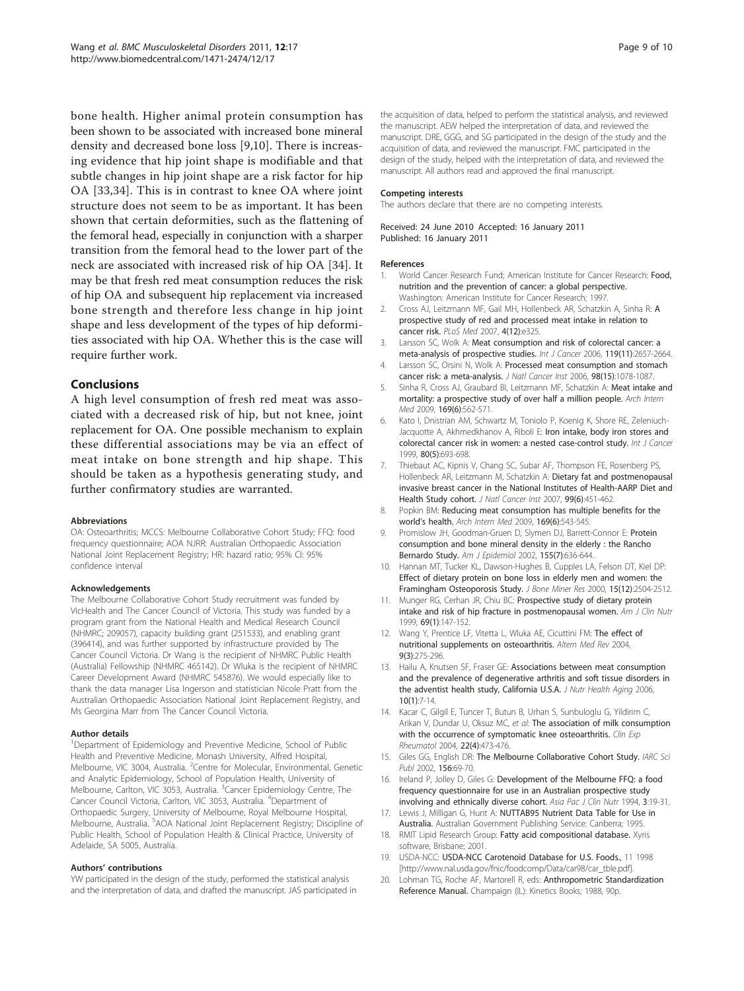<span id="page-8-0"></span>bone health. Higher animal protein consumption has been shown to be associated with increased bone mineral density and decreased bone loss [9,10]. There is increasing evidence that hip joint shape is modifiable and that subtle changes in hip joint shape are a risk factor for hip OA [[33](#page-9-0),[34\]](#page-9-0). This is in contrast to knee OA where joint structure does not seem to be as important. It has been shown that certain deformities, such as the flattening of the femoral head, especially in conjunction with a sharper transition from the femoral head to the lower part of the neck are associated with increased risk of hip OA [[34\]](#page-9-0). It may be that fresh red meat consumption reduces the risk of hip OA and subsequent hip replacement via increased bone strength and therefore less change in hip joint shape and less development of the types of hip deformities associated with hip OA. Whether this is the case will require further work.

## **Conclusions**

A high level consumption of fresh red meat was associated with a decreased risk of hip, but not knee, joint replacement for OA. One possible mechanism to explain these differential associations may be via an effect of meat intake on bone strength and hip shape. This should be taken as a hypothesis generating study, and further confirmatory studies are warranted.

#### Abbreviations

OA: Osteoarthritis; MCCS: Melbourne Collaborative Cohort Study; FFQ: food frequency questionnaire; AOA NJRR: Australian Orthopaedic Association National Joint Replacement Registry; HR: hazard ratio; 95% CI: 95% confidence interval

#### Acknowledgements

The Melbourne Collaborative Cohort Study recruitment was funded by VicHealth and The Cancer Council of Victoria. This study was funded by a program grant from the National Health and Medical Research Council (NHMRC; 209057), capacity building grant (251533), and enabling grant (396414), and was further supported by infrastructure provided by The Cancer Council Victoria. Dr Wang is the recipient of NHMRC Public Health (Australia) Fellowship (NHMRC 465142). Dr Wluka is the recipient of NHMRC Career Development Award (NHMRC 545876). We would especially like to thank the data manager Lisa Ingerson and statistician Nicole Pratt from the Australian Orthopaedic Association National Joint Replacement Registry, and Ms Georgina Marr from The Cancer Council Victoria.

#### Author details

<sup>1</sup>Department of Epidemiology and Preventive Medicine, School of Public Health and Preventive Medicine, Monash University, Alfred Hospital, Melbourne, VIC 3004, Australia. <sup>2</sup>Centre for Molecular, Environmental, Genetic and Analytic Epidemiology, School of Population Health, University of Melbourne, Carlton, VIC 3053, Australia. <sup>3</sup>Cancer Epidemiology Centre, The Cancer Council Victoria, Carlton, VIC 3053, Australia. <sup>4</sup>Department of Orthopaedic Surgery, University of Melbourne, Royal Melbourne Hospital, Melbourne, Australia. <sup>5</sup>AOA National Joint Replacement Registry; Discipline of Public Health, School of Population Health & Clinical Practice, University of Adelaide, SA 5005, Australia.

#### Authors' contributions

YW participated in the design of the study, performed the statistical analysis and the interpretation of data, and drafted the manuscript. JAS participated in

the acquisition of data, helped to perform the statistical analysis, and reviewed the manuscript. AEW helped the interpretation of data, and reviewed the manuscript. DRE, GGG, and SG participated in the design of the study and the acquisition of data, and reviewed the manuscript. FMC participated in the design of the study, helped with the interpretation of data, and reviewed the manuscript. All authors read and approved the final manuscript.

#### Competing interests

The authors declare that there are no competing interests.

#### Received: 24 June 2010 Accepted: 16 January 2011 Published: 16 January 2011

#### References

- World Cancer Research Fund: American Institute for Cancer Research: Food, nutrition and the prevention of cancer: a global perspective. Washington: American Institute for Cancer Research; 1997.
- 2. Cross AJ, Leitzmann MF, Gail MH, Hollenbeck AR, Schatzkin A, Sinha R: [A](http://www.ncbi.nlm.nih.gov/pubmed/18076279?dopt=Abstract) [prospective study of red and processed meat intake in relation to](http://www.ncbi.nlm.nih.gov/pubmed/18076279?dopt=Abstract) [cancer risk.](http://www.ncbi.nlm.nih.gov/pubmed/18076279?dopt=Abstract) PLoS Med 2007, 4(12):e325.
- 3. Larsson SC, Wolk A: [Meat consumption and risk of colorectal cancer: a](http://www.ncbi.nlm.nih.gov/pubmed/16991129?dopt=Abstract) [meta-analysis of prospective studies.](http://www.ncbi.nlm.nih.gov/pubmed/16991129?dopt=Abstract) Int J Cancer 2006, 119(11):2657-2664.
- 4. Larsson SC, Orsini N, Wolk A: [Processed meat consumption and stomach](http://www.ncbi.nlm.nih.gov/pubmed/16882945?dopt=Abstract) [cancer risk: a meta-analysis.](http://www.ncbi.nlm.nih.gov/pubmed/16882945?dopt=Abstract) J Natl Cancer Inst 2006, 98(15):1078-1087.
- 5. Sinha R, Cross AJ, Graubard BI, Leitzmann MF, Schatzkin A: [Meat intake and](http://www.ncbi.nlm.nih.gov/pubmed/19307518?dopt=Abstract) [mortality: a prospective study of over half a million people.](http://www.ncbi.nlm.nih.gov/pubmed/19307518?dopt=Abstract) Arch Intern Med 2009, 169(6):562-571.
- 6. Kato I, Dnistrian AM, Schwartz M, Toniolo P, Koenig K, Shore RE, Zeleniuch-Jacquotte A, Akhmedkhanov A, Riboli E: [Iron intake, body iron stores and](http://www.ncbi.nlm.nih.gov/pubmed/10048969?dopt=Abstract) [colorectal cancer risk in women: a nested case-control study.](http://www.ncbi.nlm.nih.gov/pubmed/10048969?dopt=Abstract) Int J Cancer 1999, 80(5):693-698.
- Thiebaut AC, Kipnis V, Chang SC, Subar AF, Thompson FE, Rosenberg PS, Hollenbeck AR, Leitzmann M, Schatzkin A: [Dietary fat and postmenopausal](http://www.ncbi.nlm.nih.gov/pubmed/17374835?dopt=Abstract) [invasive breast cancer in the National Institutes of Health-AARP Diet and](http://www.ncbi.nlm.nih.gov/pubmed/17374835?dopt=Abstract) [Health Study cohort.](http://www.ncbi.nlm.nih.gov/pubmed/17374835?dopt=Abstract) J Natl Cancer Inst 2007, 99(6):451-462.
- 8. Popkin BM: [Reducing meat consumption has multiple benefits for the](http://www.ncbi.nlm.nih.gov/pubmed/19307515?dopt=Abstract) world'[s health.](http://www.ncbi.nlm.nih.gov/pubmed/19307515?dopt=Abstract) Arch Intern Med 2009, 169(6):543-545.
- 9. Promislow JH, Goodman-Gruen D, Slymen DJ, Barrett-Connor E: [Protein](http://www.ncbi.nlm.nih.gov/pubmed/11914191?dopt=Abstract) [consumption and bone mineral density in the elderly : the Rancho](http://www.ncbi.nlm.nih.gov/pubmed/11914191?dopt=Abstract) [Bernardo Study.](http://www.ncbi.nlm.nih.gov/pubmed/11914191?dopt=Abstract) Am J Epidemiol 2002, 155(7):636-644.
- 10. Hannan MT, Tucker KL, Dawson-Hughes B, Cupples LA, Felson DT, Kiel DP: [Effect of dietary protein on bone loss in elderly men and women: the](http://www.ncbi.nlm.nih.gov/pubmed/11127216?dopt=Abstract) [Framingham Osteoporosis Study.](http://www.ncbi.nlm.nih.gov/pubmed/11127216?dopt=Abstract) J Bone Miner Res 2000, 15(12):2504-2512.
- 11. Munger RG, Cerhan JR, Chiu BC: [Prospective study of dietary protein](http://www.ncbi.nlm.nih.gov/pubmed/9925137?dopt=Abstract) [intake and risk of hip fracture in postmenopausal women.](http://www.ncbi.nlm.nih.gov/pubmed/9925137?dopt=Abstract) Am J Clin Nutr 1999, 69(1):147-152.
- 12. Wang Y, Prentice LF, Vitetta L, Wluka AE, Cicuttini FM: [The effect of](http://www.ncbi.nlm.nih.gov/pubmed/15387719?dopt=Abstract) [nutritional supplements on osteoarthritis.](http://www.ncbi.nlm.nih.gov/pubmed/15387719?dopt=Abstract) Altern Med Rev 2004, 9(3):275-296.
- 13. Hailu A, Knutsen SF, Fraser GE: [Associations between meat consumption](http://www.ncbi.nlm.nih.gov/pubmed/16453052?dopt=Abstract) [and the prevalence of degenerative arthritis and soft tissue disorders in](http://www.ncbi.nlm.nih.gov/pubmed/16453052?dopt=Abstract) [the adventist health study, California U.S.A.](http://www.ncbi.nlm.nih.gov/pubmed/16453052?dopt=Abstract) J Nutr Health Aging 2006, 10(1):7-14.
- 14. Kacar C, Gilgil E, Tuncer T, Butun B, Urhan S, Sunbuloglu G, Yildirim C, Arikan V, Dundar U, Oksuz MC, et al: [The association of milk consumption](http://www.ncbi.nlm.nih.gov/pubmed/15301247?dopt=Abstract) [with the occurrence of symptomatic knee osteoarthritis.](http://www.ncbi.nlm.nih.gov/pubmed/15301247?dopt=Abstract) Clin Exp Rheumatol 2004, 22(4):473-476.
- 15. Giles GG, English DR: [The Melbourne Collaborative Cohort Study.](http://www.ncbi.nlm.nih.gov/pubmed/12484128?dopt=Abstract) IARC Sci Publ 2002, 156:69-70.
- 16. Ireland P, Jolley D, Giles G: Development of the Melbourne FFQ: a food frequency questionnaire for use in an Australian prospective study involving and ethnically diverse cohort. Asia Pac J Clin Nutr 1994, 3:19-31.
- 17. Lewis J, Milligan G, Hunt A: NUTTAB95 Nutrient Data Table for Use in Australia. Australian Government Publishing Service: Canberra; 1995.
- 18. RMIT Lipid Research Group: Fatty acid compositional database. Xyris software, Brisbane; 2001.
- 19. USDA-NCC: USDA-NCC Carotenoid Database for U.S. Foods., 11 1998 [[http://www.nal.usda.gov/fnic/foodcomp/Data/car98/car\\_tble.pdf\]](http://www.nal.usda.gov/fnic/foodcomp/Data/car98/car_tble.pdf).
- 20. Lohman TG, Roche AF, Martorell R, eds: Anthropometric Standardization Reference Manual. Champaign (IL): Kinetics Books; 1988, 90p.